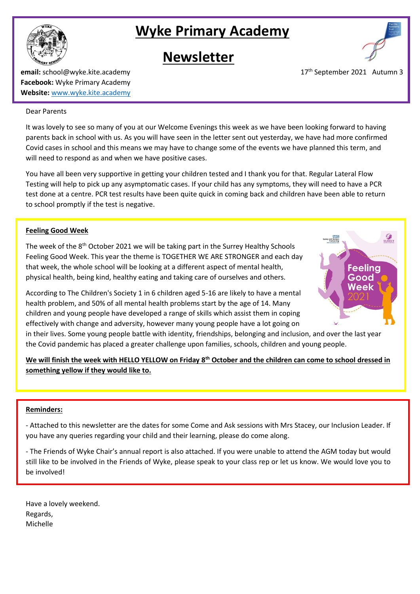

# **Wyke Primary Academy**

# **Newsletter**



**email:** school@wyke.kite.academy 17<sup>th</sup> September 2021 Autumn 3 **Facebook:** Wyke Primary Academy **Website:** [www.wyke.kite.academy](http://www.wyke.kite.academy/)

#### Dear Parents

It was lovely to see so many of you at our Welcome Evenings this week as we have been looking forward to having parents back in school with us. As you will have seen in the letter sent out yesterday, we have had more confirmed Covid cases in school and this means we may have to change some of the events we have planned this term, and will need to respond as and when we have positive cases.

You have all been very supportive in getting your children tested and I thank you for that. Regular Lateral Flow Testing will help to pick up any asymptomatic cases. If your child has any symptoms, they will need to have a PCR test done at a centre. PCR test results have been quite quick in coming back and children have been able to return to school promptly if the test is negative.

### **Feeling Good Week**

The week of the 8<sup>th</sup> October 2021 we will be taking part in the Surrey Healthy Schools Feeling Good Week. This year the theme is TOGETHER WE ARE STRONGER and each day that week, the whole school will be looking at a different aspect of mental health, physical health, being kind, healthy eating and taking care of ourselves and others.

According to The Children's Society 1 in 6 children aged 5-16 are likely to have a mental health problem, and 50% of all mental health problems start by the age of 14. Many children and young people have developed a range of skills which assist them in coping effectively with change and adversity, however many young people have a lot going on



**We will finish the week with HELLO YELLOW on Friday 8th October and the children can come to school dressed in something yellow if they would like to.**

### **Reminders:**

- Attached to this newsletter are the dates for some Come and Ask sessions with Mrs Stacey, our Inclusion Leader. If you have any queries regarding your child and their learning, please do come along.

- The Friends of Wyke Chair's annual report is also attached. If you were unable to attend the AGM today but would still like to be involved in the Friends of Wyke, please speak to your class rep or let us know. We would love you to be involved!

Have a lovely weekend. Regards, Michelle